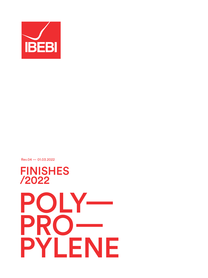

Rev.04 — 01.03.2022

FINISHES

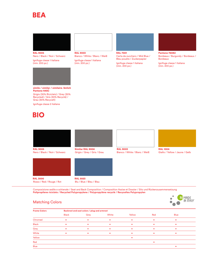#### BEA



Nero / Black / Noir / Schwarz Ignifuga classe 1 italiana (min. 200 pz.)



simile / similar / similaire /änlich Pantone 445C Grigio (30% Riciclato) / Grey (30%

Recycled) / Gris (30% Recyclé) / Grau (30% Recycelt)

Ignifuga classe 2 italiana



# RAL 9005 RAL 9003 RAL 7001 Pantone 7608U

Bianco / White / Blanc / Weiß Ignifuga classe 1 italiana (min. 200 pz.)

Carta da zucchero / Mid Blue / Bleu poudre / Zuckerpapier

Ignifuga classe 1 italiana (min. 200 pz.)



Bordeaux / Burgundy / Bordeaux / Bordeaux

Ignifuga classe 1 italiana (min. 200 pz.)









RAL 3000 RAL 5023<br>Rosso / Red / Rouge / Rot Blu / Blue / Bleu / Blau Rosso / Red / Rouge / Rot

Composizione sedile e schienale / Seat and Back Composition / Composition Assise et Dossier / Sitz und Rückenzusammensetzung **Polipropilene riciclato / Recycled Polypropylene / Polypropylène recyclé / Rexyceltes Polypropylen**



#### Matching Colors

| <b>Frame Colors</b> | Backrest and seat colors / plug and armrest |      |       |        |     |             |
|---------------------|---------------------------------------------|------|-------|--------|-----|-------------|
|                     | <b>Black</b>                                | Grey | White | Yellow | Red | <b>Blue</b> |
| Chromed             |                                             |      |       |        |     |             |
| <b>Black</b>        |                                             |      |       |        |     |             |
| Grey                |                                             |      |       |        |     |             |
| White               |                                             |      |       |        | ٠   |             |
| Yellow              |                                             |      |       |        |     |             |
| Red                 |                                             |      |       |        |     |             |
| <b>Blue</b>         |                                             |      |       |        |     |             |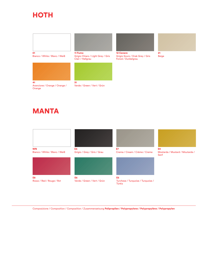#### **HOTH**



Bianco / White / Blanc / Weiß



Arancione / Orange / Orange / **Orange** 



Grigio Chiaro / LIght Grey / Gris Clair / Hellgrau



Verde / Green / Vert / Grün



Grigio Scuro / Drak Grey / Gris Foncé / Dunkelgrau

21 Beige

### MANTA



Composizione / Composition / Composition / Zusammensetzung Polipropilen / Polypropylene / Polypropylène / Polypropylen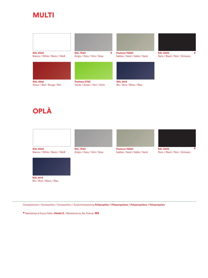#### MULTI



Bianco / White / Blanc / Weiß





Grigio / Grey / Gris / Grau



RAL 3002 **Pantone 375C** RAL 5013<br>Rosso / Red / Rouge / Rot Verde / Green / Vert / Grün Blu / Blue / Bleyu / Blau Verde / Green / Vert / Grün

Pantone 7536C Sabbia / Sand / Sable / Sand





Nero / Black / Noir / Schwarz

## OPLÀ





Grigio / Grey / Gris / Grau



Pantone 7536C Sabbia / Sand / Sable / Sand



RAL 9005 Nero / Black / Noir / Schwarz



Blu / Blue / Bleyu / Blau

Composizione / Composition / Composition / Zusammensetzung Polipropilen / Polypropylene / Polypropylène / Polypropylen

\* Resistenza al fuoco Italia: **classe 2** / Résistence au feu France: **M3**